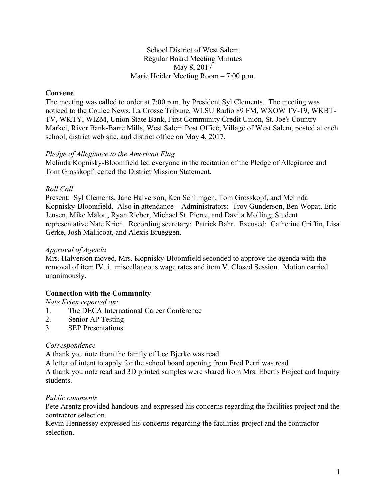#### School District of West Salem Regular Board Meeting Minutes May 8, 2017 Marie Heider Meeting Room – 7:00 p.m.

## **Convene**

The meeting was called to order at 7:00 p.m. by President Syl Clements. The meeting was noticed to the Coulee News, La Crosse Tribune, WLSU Radio 89 FM, WXOW TV-19, WKBT-TV, WKTY, WIZM, Union State Bank, First Community Credit Union, St. Joe's Country Market, River Bank-Barre Mills, West Salem Post Office, Village of West Salem, posted at each school, district web site, and district office on May 4, 2017.

#### *Pledge of Allegiance to the American Flag*

Melinda Kopnisky-Bloomfield led everyone in the recitation of the Pledge of Allegiance and Tom Grosskopf recited the District Mission Statement.

## *Roll Call*

Present: Syl Clements, Jane Halverson, Ken Schlimgen, Tom Grosskopf, and Melinda Kopnisky-Bloomfield. Also in attendance – Administrators: Troy Gunderson, Ben Wopat, Eric Jensen, Mike Malott, Ryan Rieber, Michael St. Pierre, and Davita Molling; Student representative Nate Krien. Recording secretary: Patrick Bahr. Excused: Catherine Griffin, Lisa Gerke, Josh Mallicoat, and Alexis Brueggen.

#### *Approval of Agenda*

Mrs. Halverson moved, Mrs. Kopnisky-Bloomfield seconded to approve the agenda with the removal of item IV. i. miscellaneous wage rates and item V. Closed Session. Motion carried unanimously.

## **Connection with the Community**

*Nate Krien reported on:*

- 1. The DECA International Career Conference
- 2. Senior AP Testing
- 3. SEP Presentations

#### *Correspondence*

A thank you note from the family of Lee Bjerke was read.

A letter of intent to apply for the school board opening from Fred Perri was read.

A thank you note read and 3D printed samples were shared from Mrs. Ebert's Project and Inquiry students.

#### *Public comments*

Pete Arentz provided handouts and expressed his concerns regarding the facilities project and the contractor selection.

Kevin Hennessey expressed his concerns regarding the facilities project and the contractor selection.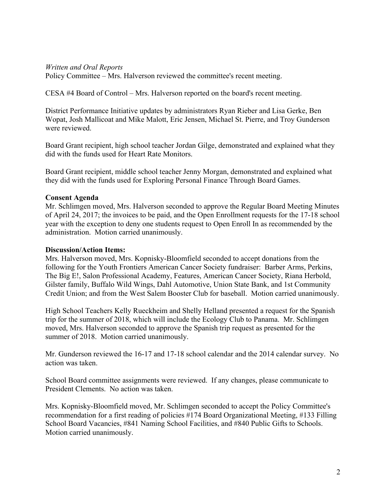#### *Written and Oral Reports*

Policy Committee – Mrs. Halverson reviewed the committee's recent meeting.

CESA #4 Board of Control – Mrs. Halverson reported on the board's recent meeting.

District Performance Initiative updates by administrators Ryan Rieber and Lisa Gerke, Ben Wopat, Josh Mallicoat and Mike Malott, Eric Jensen, Michael St. Pierre, and Troy Gunderson were reviewed.

Board Grant recipient, high school teacher Jordan Gilge, demonstrated and explained what they did with the funds used for Heart Rate Monitors.

Board Grant recipient, middle school teacher Jenny Morgan, demonstrated and explained what they did with the funds used for Exploring Personal Finance Through Board Games.

## **Consent Agenda**

Mr. Schlimgen moved, Mrs. Halverson seconded to approve the Regular Board Meeting Minutes of April 24, 2017; the invoices to be paid, and the Open Enrollment requests for the 17-18 school year with the exception to deny one students request to Open Enroll In as recommended by the administration. Motion carried unanimously.

#### **Discussion/Action Items:**

Mrs. Halverson moved, Mrs. Kopnisky-Bloomfield seconded to accept donations from the following for the Youth Frontiers American Cancer Society fundraiser: Barber Arms, Perkins, The Big E!, Salon Professional Academy, Features, American Cancer Society, Riana Herbold, Gilster family, Buffalo Wild Wings, Dahl Automotive, Union State Bank, and 1st Community Credit Union; and from the West Salem Booster Club for baseball. Motion carried unanimously.

High School Teachers Kelly Rueckheim and Shelly Helland presented a request for the Spanish trip for the summer of 2018, which will include the Ecology Club to Panama. Mr. Schlimgen moved, Mrs. Halverson seconded to approve the Spanish trip request as presented for the summer of 2018. Motion carried unanimously.

Mr. Gunderson reviewed the 16-17 and 17-18 school calendar and the 2014 calendar survey. No action was taken.

School Board committee assignments were reviewed. If any changes, please communicate to President Clements. No action was taken.

Mrs. Kopnisky-Bloomfield moved, Mr. Schlimgen seconded to accept the Policy Committee's recommendation for a first reading of policies #174 Board Organizational Meeting, #133 Filling School Board Vacancies, #841 Naming School Facilities, and #840 Public Gifts to Schools. Motion carried unanimously.